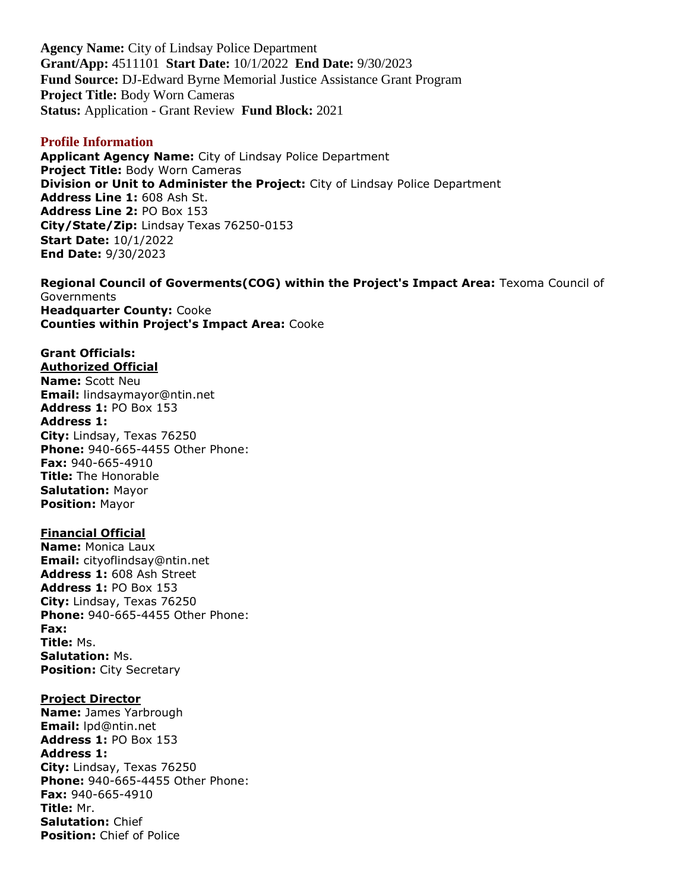**Agency Name:** City of Lindsay Police Department **Grant/App:** 4511101 **Start Date:** 10/1/2022 **End Date:** 9/30/2023 **Fund Source:** DJ-Edward Byrne Memorial Justice Assistance Grant Program **Project Title:** Body Worn Cameras **Status:** Application - Grant Review **Fund Block:** 2021

#### **Profile Information**

**Applicant Agency Name:** City of Lindsay Police Department **Project Title:** Body Worn Cameras **Division or Unit to Administer the Project:** City of Lindsay Police Department **Address Line 1:** 608 Ash St. **Address Line 2:** PO Box 153 **City/State/Zip:** Lindsay Texas 76250-0153 **Start Date:** 10/1/2022 **End Date:** 9/30/2023

**Regional Council of Goverments(COG) within the Project's Impact Area:** Texoma Council of **Governments Headquarter County:** Cooke **Counties within Project's Impact Area:** Cooke

# **Grant Officials:**

**Authorized Official Name:** Scott Neu **Email:** lindsaymayor@ntin.net **Address 1:** PO Box 153 **Address 1: City:** Lindsay, Texas 76250 **Phone:** 940-665-4455 Other Phone: **Fax:** 940-665-4910 **Title:** The Honorable **Salutation:** Mayor **Position:** Mayor

### **Financial Official**

**Name:** Monica Laux **Email:** cityoflindsay@ntin.net **Address 1:** 608 Ash Street **Address 1:** PO Box 153 **City:** Lindsay, Texas 76250 **Phone:** 940-665-4455 Other Phone: **Fax: Title:** Ms. **Salutation:** Ms. **Position:** City Secretary

#### **Project Director**

**Name:** James Yarbrough **Email:** lpd@ntin.net **Address 1:** PO Box 153 **Address 1: City:** Lindsay, Texas 76250 **Phone:** 940-665-4455 Other Phone: **Fax:** 940-665-4910 **Title:** Mr. **Salutation:** Chief **Position:** Chief of Police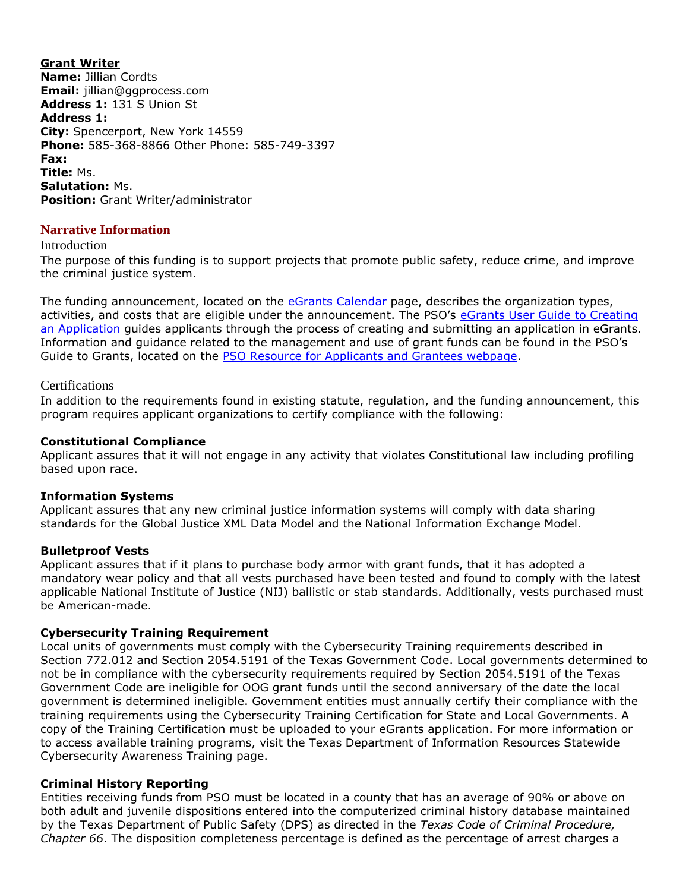**Grant Writer Name:** Jillian Cordts **Email:** jillian@ggprocess.com **Address 1:** 131 S Union St **Address 1: City:** Spencerport, New York 14559 **Phone:** 585-368-8866 Other Phone: 585-749-3397 **Fax: Title:** Ms. **Salutation:** Ms. **Position:** Grant Writer/administrator

### **Narrative Information**

#### Introduction

The purpose of this funding is to support projects that promote public safety, reduce crime, and improve the criminal justice system.

The funding announcement, located on the [eGrants Calendar](https://egrants.gov.texas.gov/fundopp.aspx) page, describes the organization types, activities, and costs that are eligible under the announcement. The PSO's [eGrants User Guide to Creating](file:///C:/Users/mharp/fundopp.aspx%3fname=eGrants_Guide_to_Creating_an_Application_12.2020.pdf&type=2)  [an Application](file:///C:/Users/mharp/fundopp.aspx%3fname=eGrants_Guide_to_Creating_an_Application_12.2020.pdf&type=2) guides applicants through the process of creating and submitting an application in eGrants. Information and guidance related to the management and use of grant funds can be found in the PSO's Guide to Grants, located on the [PSO Resource for Applicants and Grantees webpage.](https://gov.texas.gov/organization/cjd/resources)

#### **Certifications**

In addition to the requirements found in existing statute, regulation, and the funding announcement, this program requires applicant organizations to certify compliance with the following:

#### **Constitutional Compliance**

Applicant assures that it will not engage in any activity that violates Constitutional law including profiling based upon race.

#### **Information Systems**

Applicant assures that any new criminal justice information systems will comply with data sharing standards for the Global Justice XML Data Model and the National Information Exchange Model.

#### **Bulletproof Vests**

Applicant assures that if it plans to purchase body armor with grant funds, that it has adopted a mandatory wear policy and that all vests purchased have been tested and found to comply with the latest applicable National Institute of Justice (NIJ) ballistic or stab standards. Additionally, vests purchased must be American-made.

#### **Cybersecurity Training Requirement**

Local units of governments must comply with the Cybersecurity Training requirements described in Section 772.012 and Section 2054.5191 of the Texas Government Code. Local governments determined to not be in compliance with the cybersecurity requirements required by Section 2054.5191 of the Texas Government Code are ineligible for OOG grant funds until the second anniversary of the date the local government is determined ineligible. Government entities must annually certify their compliance with the training requirements using the Cybersecurity Training Certification for State and Local Governments. A copy of the Training Certification must be uploaded to your eGrants application. For more information or to access available training programs, visit the Texas Department of Information Resources Statewide Cybersecurity Awareness Training page.

#### **Criminal History Reporting**

Entities receiving funds from PSO must be located in a county that has an average of 90% or above on both adult and juvenile dispositions entered into the computerized criminal history database maintained by the Texas Department of Public Safety (DPS) as directed in the *Texas Code of Criminal Procedure, Chapter 66*. The disposition completeness percentage is defined as the percentage of arrest charges a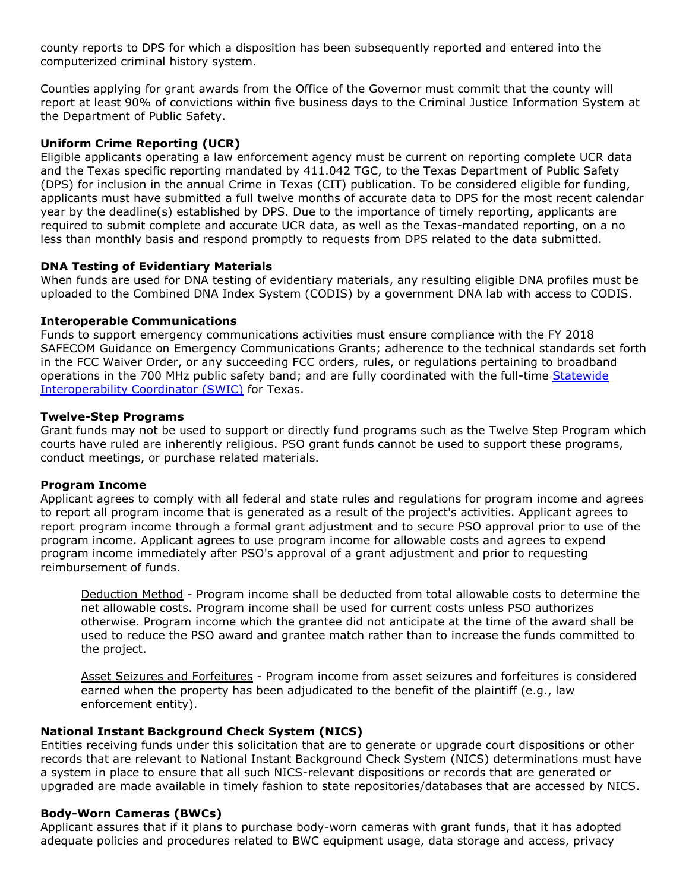county reports to DPS for which a disposition has been subsequently reported and entered into the computerized criminal history system.

Counties applying for grant awards from the Office of the Governor must commit that the county will report at least 90% of convictions within five business days to the Criminal Justice Information System at the Department of Public Safety.

### **Uniform Crime Reporting (UCR)**

Eligible applicants operating a law enforcement agency must be current on reporting complete UCR data and the Texas specific reporting mandated by 411.042 TGC, to the Texas Department of Public Safety (DPS) for inclusion in the annual Crime in Texas (CIT) publication. To be considered eligible for funding, applicants must have submitted a full twelve months of accurate data to DPS for the most recent calendar year by the deadline(s) established by DPS. Due to the importance of timely reporting, applicants are required to submit complete and accurate UCR data, as well as the Texas-mandated reporting, on a no less than monthly basis and respond promptly to requests from DPS related to the data submitted.

### **DNA Testing of Evidentiary Materials**

When funds are used for DNA testing of evidentiary materials, any resulting eligible DNA profiles must be uploaded to the Combined DNA Index System (CODIS) by a government DNA lab with access to CODIS.

#### **Interoperable Communications**

Funds to support emergency communications activities must ensure compliance with the FY 2018 SAFECOM Guidance on Emergency Communications Grants; adherence to the technical standards set forth in the FCC Waiver Order, or any succeeding FCC orders, rules, or regulations pertaining to broadband operations in the 700 MHz public safety band; and are fully coordinated with the full-time Statewide [Interoperability Coordinator \(SWIC\)](https://www.dps.texas.gov/section/infrastructure-operations/texas-statewide-interoperability-coordinator) for Texas.

#### **Twelve-Step Programs**

Grant funds may not be used to support or directly fund programs such as the Twelve Step Program which courts have ruled are inherently religious. PSO grant funds cannot be used to support these programs, conduct meetings, or purchase related materials.

#### **Program Income**

Applicant agrees to comply with all federal and state rules and regulations for program income and agrees to report all program income that is generated as a result of the project's activities. Applicant agrees to report program income through a formal grant adjustment and to secure PSO approval prior to use of the program income. Applicant agrees to use program income for allowable costs and agrees to expend program income immediately after PSO's approval of a grant adjustment and prior to requesting reimbursement of funds.

Deduction Method - Program income shall be deducted from total allowable costs to determine the net allowable costs. Program income shall be used for current costs unless PSO authorizes otherwise. Program income which the grantee did not anticipate at the time of the award shall be used to reduce the PSO award and grantee match rather than to increase the funds committed to the project.

Asset Seizures and Forfeitures - Program income from asset seizures and forfeitures is considered earned when the property has been adjudicated to the benefit of the plaintiff (e.g., law enforcement entity).

## **National Instant Background Check System (NICS)**

Entities receiving funds under this solicitation that are to generate or upgrade court dispositions or other records that are relevant to National Instant Background Check System (NICS) determinations must have a system in place to ensure that all such NICS-relevant dispositions or records that are generated or upgraded are made available in timely fashion to state repositories/databases that are accessed by NICS.

#### **Body-Worn Cameras (BWCs)**

Applicant assures that if it plans to purchase body-worn cameras with grant funds, that it has adopted adequate policies and procedures related to BWC equipment usage, data storage and access, privacy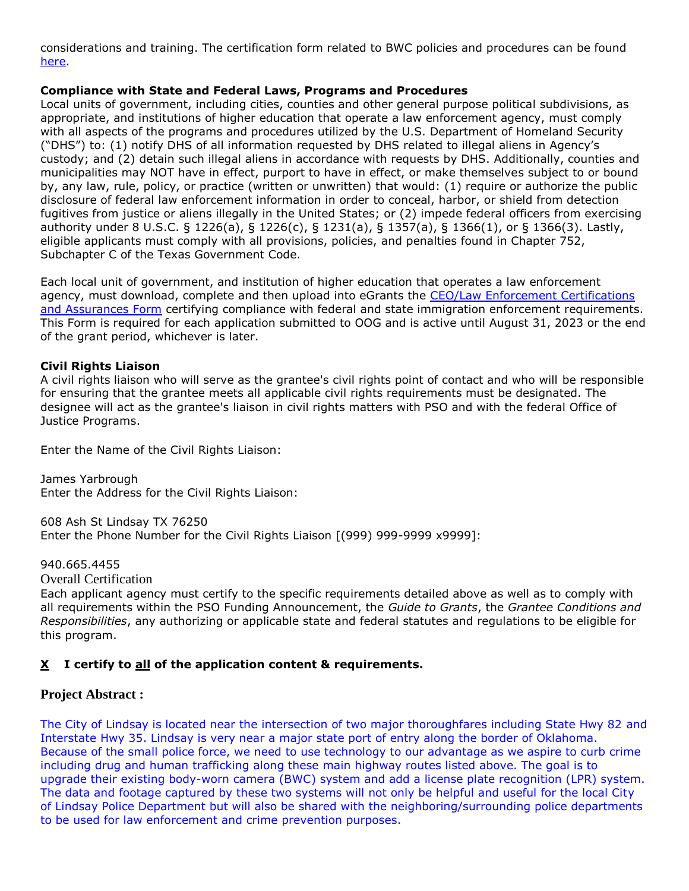considerations and training. The certification form related to BWC policies and procedures can be found [here.](https://bja.ojp.gov/sites/g/files/xyckuh186/files/media/document/fy-21-jag-body-worn-camera-policy-cert.pdf)

### **Compliance with State and Federal Laws, Programs and Procedures**

Local units of government, including cities, counties and other general purpose political subdivisions, as appropriate, and institutions of higher education that operate a law enforcement agency, must comply with all aspects of the programs and procedures utilized by the U.S. Department of Homeland Security ("DHS") to: (1) notify DHS of all information requested by DHS related to illegal aliens in Agency's custody; and (2) detain such illegal aliens in accordance with requests by DHS. Additionally, counties and municipalities may NOT have in effect, purport to have in effect, or make themselves subject to or bound by, any law, rule, policy, or practice (written or unwritten) that would: (1) require or authorize the public disclosure of federal law enforcement information in order to conceal, harbor, or shield from detection fugitives from justice or aliens illegally in the United States; or (2) impede federal officers from exercising authority under 8 U.S.C. § 1226(a), § 1226(c), § 1231(a), § 1357(a), § 1366(1), or § 1366(3). Lastly, eligible applicants must comply with all provisions, policies, and penalties found in Chapter 752, Subchapter C of the Texas Government Code.

Each local unit of government, and institution of higher education that operates a law enforcement agency, must download, complete and then upload into eGrants the CEO/Law Enforcement Certifications [and Assurances Form](file:///C:/Users/mharp/fundopp.aspx%3fname=CEO-LE_Cert-Assurances_Form-Blank.pdf&type=2) certifying compliance with federal and state immigration enforcement requirements. This Form is required for each application submitted to OOG and is active until August 31, 2023 or the end of the grant period, whichever is later.

### **Civil Rights Liaison**

A civil rights liaison who will serve as the grantee's civil rights point of contact and who will be responsible for ensuring that the grantee meets all applicable civil rights requirements must be designated. The designee will act as the grantee's liaison in civil rights matters with PSO and with the federal Office of Justice Programs.

Enter the Name of the Civil Rights Liaison:

James Yarbrough Enter the Address for the Civil Rights Liaison:

608 Ash St Lindsay TX 76250 Enter the Phone Number for the Civil Rights Liaison [(999) 999-9999 x9999]:

940.665.4455

Overall Certification

Each applicant agency must certify to the specific requirements detailed above as well as to comply with all requirements within the PSO Funding Announcement, the *Guide to Grants*, the *Grantee Conditions and Responsibilities*, any authorizing or applicable state and federal statutes and regulations to be eligible for this program.

## **X I certify to all of the application content & requirements.**

## **Project Abstract :**

The City of Lindsay is located near the intersection of two major thoroughfares including State Hwy 82 and Interstate Hwy 35. Lindsay is very near a major state port of entry along the border of Oklahoma. Because of the small police force, we need to use technology to our advantage as we aspire to curb crime including drug and human trafficking along these main highway routes listed above. The goal is to upgrade their existing body-worn camera (BWC) system and add a license plate recognition (LPR) system. The data and footage captured by these two systems will not only be helpful and useful for the local City of Lindsay Police Department but will also be shared with the neighboring/surrounding police departments to be used for law enforcement and crime prevention purposes.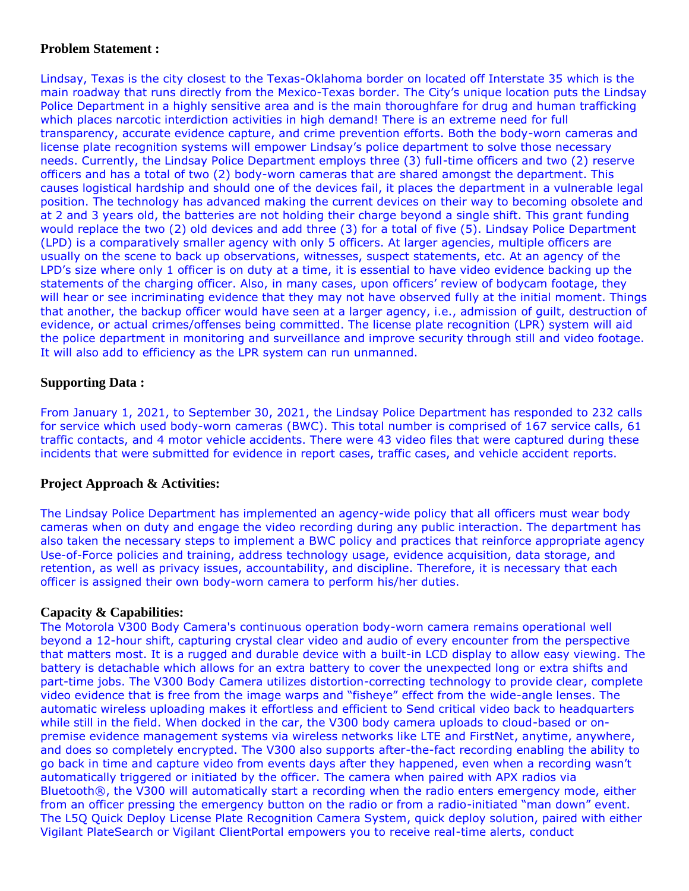## **Problem Statement :**

Lindsay, Texas is the city closest to the Texas-Oklahoma border on located off Interstate 35 which is the main roadway that runs directly from the Mexico-Texas border. The City's unique location puts the Lindsay Police Department in a highly sensitive area and is the main thoroughfare for drug and human trafficking which places narcotic interdiction activities in high demand! There is an extreme need for full transparency, accurate evidence capture, and crime prevention efforts. Both the body-worn cameras and license plate recognition systems will empower Lindsay's police department to solve those necessary needs. Currently, the Lindsay Police Department employs three (3) full-time officers and two (2) reserve officers and has a total of two (2) body-worn cameras that are shared amongst the department. This causes logistical hardship and should one of the devices fail, it places the department in a vulnerable legal position. The technology has advanced making the current devices on their way to becoming obsolete and at 2 and 3 years old, the batteries are not holding their charge beyond a single shift. This grant funding would replace the two (2) old devices and add three (3) for a total of five (5). Lindsay Police Department (LPD) is a comparatively smaller agency with only 5 officers. At larger agencies, multiple officers are usually on the scene to back up observations, witnesses, suspect statements, etc. At an agency of the LPD's size where only 1 officer is on duty at a time, it is essential to have video evidence backing up the statements of the charging officer. Also, in many cases, upon officers' review of bodycam footage, they will hear or see incriminating evidence that they may not have observed fully at the initial moment. Things that another, the backup officer would have seen at a larger agency, i.e., admission of guilt, destruction of evidence, or actual crimes/offenses being committed. The license plate recognition (LPR) system will aid the police department in monitoring and surveillance and improve security through still and video footage. It will also add to efficiency as the LPR system can run unmanned.

## **Supporting Data :**

From January 1, 2021, to September 30, 2021, the Lindsay Police Department has responded to 232 calls for service which used body-worn cameras (BWC). This total number is comprised of 167 service calls, 61 traffic contacts, and 4 motor vehicle accidents. There were 43 video files that were captured during these incidents that were submitted for evidence in report cases, traffic cases, and vehicle accident reports.

## **Project Approach & Activities:**

The Lindsay Police Department has implemented an agency-wide policy that all officers must wear body cameras when on duty and engage the video recording during any public interaction. The department has also taken the necessary steps to implement a BWC policy and practices that reinforce appropriate agency Use-of-Force policies and training, address technology usage, evidence acquisition, data storage, and retention, as well as privacy issues, accountability, and discipline. Therefore, it is necessary that each officer is assigned their own body-worn camera to perform his/her duties.

## **Capacity & Capabilities:**

The Motorola V300 Body Camera's continuous operation body-worn camera remains operational well beyond a 12-hour shift, capturing crystal clear video and audio of every encounter from the perspective that matters most. It is a rugged and durable device with a built-in LCD display to allow easy viewing. The battery is detachable which allows for an extra battery to cover the unexpected long or extra shifts and part-time jobs. The V300 Body Camera utilizes distortion-correcting technology to provide clear, complete video evidence that is free from the image warps and "fisheye" effect from the wide-angle lenses. The automatic wireless uploading makes it effortless and efficient to Send critical video back to headquarters while still in the field. When docked in the car, the V300 body camera uploads to cloud-based or onpremise evidence management systems via wireless networks like LTE and FirstNet, anytime, anywhere, and does so completely encrypted. The V300 also supports after-the-fact recording enabling the ability to go back in time and capture video from events days after they happened, even when a recording wasn't automatically triggered or initiated by the officer. The camera when paired with APX radios via Bluetooth®, the V300 will automatically start a recording when the radio enters emergency mode, either from an officer pressing the emergency button on the radio or from a radio-initiated "man down" event. The L5Q Quick Deploy License Plate Recognition Camera System, quick deploy solution, paired with either Vigilant PlateSearch or Vigilant ClientPortal empowers you to receive real-time alerts, conduct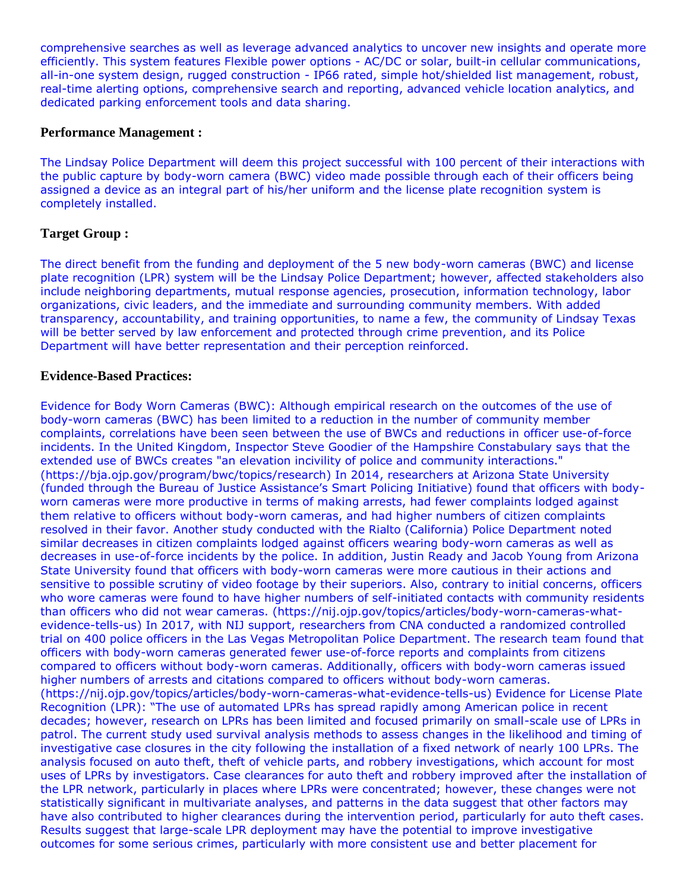comprehensive searches as well as leverage advanced analytics to uncover new insights and operate more efficiently. This system features Flexible power options - AC/DC or solar, built-in cellular communications, all-in-one system design, rugged construction - IP66 rated, simple hot/shielded list management, robust, real-time alerting options, comprehensive search and reporting, advanced vehicle location analytics, and dedicated parking enforcement tools and data sharing.

### **Performance Management :**

The Lindsay Police Department will deem this project successful with 100 percent of their interactions with the public capture by body-worn camera (BWC) video made possible through each of their officers being assigned a device as an integral part of his/her uniform and the license plate recognition system is completely installed.

## **Target Group :**

The direct benefit from the funding and deployment of the 5 new body-worn cameras (BWC) and license plate recognition (LPR) system will be the Lindsay Police Department; however, affected stakeholders also include neighboring departments, mutual response agencies, prosecution, information technology, labor organizations, civic leaders, and the immediate and surrounding community members. With added transparency, accountability, and training opportunities, to name a few, the community of Lindsay Texas will be better served by law enforcement and protected through crime prevention, and its Police Department will have better representation and their perception reinforced.

### **Evidence-Based Practices:**

Evidence for Body Worn Cameras (BWC): Although empirical research on the outcomes of the use of body-worn cameras (BWC) has been limited to a reduction in the number of community member complaints, correlations have been seen between the use of BWCs and reductions in officer use-of-force incidents. In the United Kingdom, Inspector Steve Goodier of the Hampshire Constabulary says that the extended use of BWCs creates "an elevation incivility of police and community interactions." (https://bja.ojp.gov/program/bwc/topics/research) In 2014, researchers at Arizona State University (funded through the Bureau of Justice Assistance's Smart Policing Initiative) found that officers with bodyworn cameras were more productive in terms of making arrests, had fewer complaints lodged against them relative to officers without body-worn cameras, and had higher numbers of citizen complaints resolved in their favor. Another study conducted with the Rialto (California) Police Department noted similar decreases in citizen complaints lodged against officers wearing body-worn cameras as well as decreases in use-of-force incidents by the police. In addition, Justin Ready and Jacob Young from Arizona State University found that officers with body-worn cameras were more cautious in their actions and sensitive to possible scrutiny of video footage by their superiors. Also, contrary to initial concerns, officers who wore cameras were found to have higher numbers of self-initiated contacts with community residents than officers who did not wear cameras. (https://nij.ojp.gov/topics/articles/body-worn-cameras-whatevidence-tells-us) In 2017, with NIJ support, researchers from CNA conducted a randomized controlled trial on 400 police officers in the Las Vegas Metropolitan Police Department. The research team found that officers with body-worn cameras generated fewer use-of-force reports and complaints from citizens compared to officers without body-worn cameras. Additionally, officers with body-worn cameras issued higher numbers of arrests and citations compared to officers without body-worn cameras. (https://nij.ojp.gov/topics/articles/body-worn-cameras-what-evidence-tells-us) Evidence for License Plate Recognition (LPR): "The use of automated LPRs has spread rapidly among American police in recent decades; however, research on LPRs has been limited and focused primarily on small-scale use of LPRs in patrol. The current study used survival analysis methods to assess changes in the likelihood and timing of investigative case closures in the city following the installation of a fixed network of nearly 100 LPRs. The analysis focused on auto theft, theft of vehicle parts, and robbery investigations, which account for most uses of LPRs by investigators. Case clearances for auto theft and robbery improved after the installation of the LPR network, particularly in places where LPRs were concentrated; however, these changes were not statistically significant in multivariate analyses, and patterns in the data suggest that other factors may have also contributed to higher clearances during the intervention period, particularly for auto theft cases. Results suggest that large-scale LPR deployment may have the potential to improve investigative outcomes for some serious crimes, particularly with more consistent use and better placement for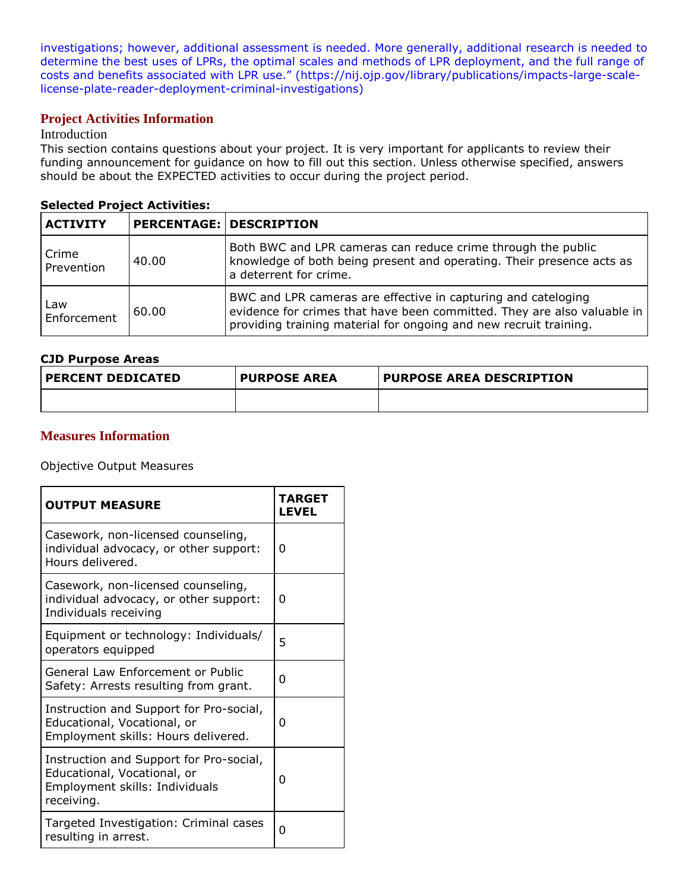investigations; however, additional assessment is needed. More generally, additional research is needed to determine the best uses of LPRs, the optimal scales and methods of LPR deployment, and the full range of costs and benefits associated with LPR use." (https://nij.ojp.gov/library/publications/impacts-large-scalelicense-plate-reader-deployment-criminal-investigations)

## **Project Activities Information**

### Introduction

This section contains questions about your project. It is very important for applicants to review their funding announcement for guidance on how to fill out this section. Unless otherwise specified, answers should be about the EXPECTED activities to occur during the project period.

#### **Selected Project Activities:**

| <b>ACTIVITY</b>     |       | <b>PERCENTAGE: DESCRIPTION</b>                                                                                                                                                                                |
|---------------------|-------|---------------------------------------------------------------------------------------------------------------------------------------------------------------------------------------------------------------|
| Crime<br>Prevention | 40.00 | Both BWC and LPR cameras can reduce crime through the public<br>knowledge of both being present and operating. Their presence acts as<br>a deterrent for crime.                                               |
| Law<br>Enforcement  | 60.00 | BWC and LPR cameras are effective in capturing and cateloging<br>evidence for crimes that have been committed. They are also valuable in<br>providing training material for ongoing and new recruit training. |

### **CJD Purpose Areas**

| <b>PERCENT DEDICATED</b> | <b>PURPOSE AREA</b> | PURPOSE AREA DESCRIPTION |
|--------------------------|---------------------|--------------------------|
|                          |                     |                          |

## **Measures Information**

Objective Output Measures

| <b>OUTPUT MEASURE</b>                                                                                                  | <b>TARGET</b><br><b>LEVEL</b> |
|------------------------------------------------------------------------------------------------------------------------|-------------------------------|
| Casework, non-licensed counseling,<br>individual advocacy, or other support:<br>Hours delivered.                       | O                             |
| Casework, non-licensed counseling,<br>individual advocacy, or other support:<br>Individuals receiving                  | 0                             |
| Equipment or technology: Individuals/<br>operators equipped                                                            | 5                             |
| General Law Enforcement or Public<br>Safety: Arrests resulting from grant.                                             | 0                             |
| Instruction and Support for Pro-social,<br>Educational, Vocational, or<br>Employment skills: Hours delivered.          | 0                             |
| Instruction and Support for Pro-social,<br>Educational, Vocational, or<br>Employment skills: Individuals<br>receiving. | 0                             |
| Targeted Investigation: Criminal cases<br>resulting in arrest.                                                         | O                             |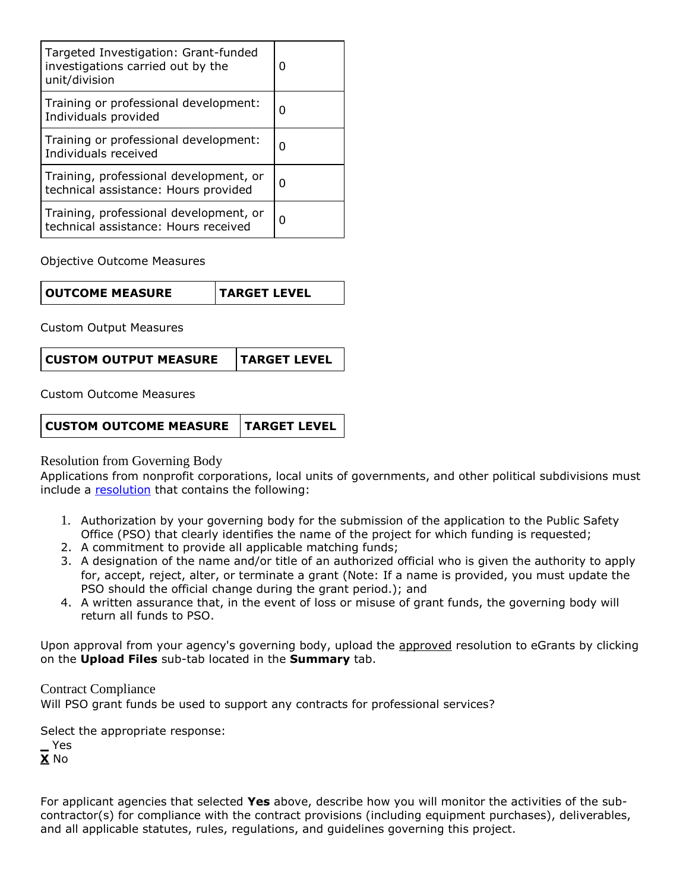| Targeted Investigation: Grant-funded<br>investigations carried out by the<br>unit/division | O |
|--------------------------------------------------------------------------------------------|---|
| Training or professional development:<br>Individuals provided                              | O |
| Training or professional development:<br>Individuals received                              | O |
| Training, professional development, or<br>technical assistance: Hours provided             | O |
| Training, professional development, or<br>technical assistance: Hours received             | U |

Objective Outcome Measures

Custom Output Measures

Custom Outcome Measures

| CUSTOM OUTCOME MEASURE   TARGET LEVEL |  |
|---------------------------------------|--|
|---------------------------------------|--|

Resolution from Governing Body

Applications from nonprofit corporations, local units of governments, and other political subdivisions must include a [resolution](file:///C:/Users/mharp/FileDirectory/OOG_Sample_Resolution.doc) that contains the following:

- 1. Authorization by your governing body for the submission of the application to the Public Safety Office (PSO) that clearly identifies the name of the project for which funding is requested;
- 2. A commitment to provide all applicable matching funds;
- 3. A designation of the name and/or title of an authorized official who is given the authority to apply for, accept, reject, alter, or terminate a grant (Note: If a name is provided, you must update the PSO should the official change during the grant period.); and
- 4. A written assurance that, in the event of loss or misuse of grant funds, the governing body will return all funds to PSO.

Upon approval from your agency's governing body, upload the approved resolution to eGrants by clicking on the **Upload Files** sub-tab located in the **Summary** tab.

Contract Compliance Will PSO grant funds be used to support any contracts for professional services?

Select the appropriate response: **\_** Yes **X** No

For applicant agencies that selected **Yes** above, describe how you will monitor the activities of the subcontractor(s) for compliance with the contract provisions (including equipment purchases), deliverables, and all applicable statutes, rules, regulations, and guidelines governing this project.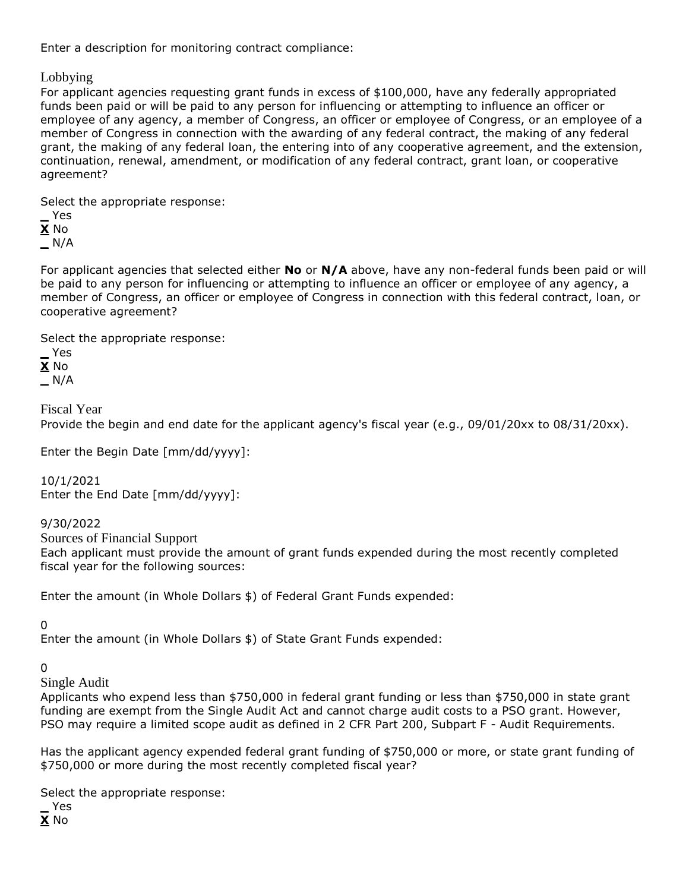Enter a description for monitoring contract compliance:

Lobbying

For applicant agencies requesting grant funds in excess of \$100,000, have any federally appropriated funds been paid or will be paid to any person for influencing or attempting to influence an officer or employee of any agency, a member of Congress, an officer or employee of Congress, or an employee of a member of Congress in connection with the awarding of any federal contract, the making of any federal grant, the making of any federal loan, the entering into of any cooperative agreement, and the extension, continuation, renewal, amendment, or modification of any federal contract, grant loan, or cooperative agreement?

Select the appropriate response:

**\_** Yes

**X** No **\_** N/A

For applicant agencies that selected either **No** or **N/A** above, have any non-federal funds been paid or will be paid to any person for influencing or attempting to influence an officer or employee of any agency, a member of Congress, an officer or employee of Congress in connection with this federal contract, loan, or cooperative agreement?

Select the appropriate response:

**\_** Yes **X** No **\_** N/A

Fiscal Year Provide the begin and end date for the applicant agency's fiscal year (e.g., 09/01/20xx to 08/31/20xx).

Enter the Begin Date [mm/dd/yyyy]:

10/1/2021 Enter the End Date [mm/dd/yyyy]:

9/30/2022 Sources of Financial Support Each applicant must provide the amount of grant funds expended during the most recently completed fiscal year for the following sources:

Enter the amount (in Whole Dollars \$) of Federal Grant Funds expended:

0

Enter the amount (in Whole Dollars \$) of State Grant Funds expended:

0

Single Audit

Applicants who expend less than \$750,000 in federal grant funding or less than \$750,000 in state grant funding are exempt from the Single Audit Act and cannot charge audit costs to a PSO grant. However, PSO may require a limited scope audit as defined in 2 CFR Part 200, Subpart F - Audit Requirements.

Has the applicant agency expended federal grant funding of \$750,000 or more, or state grant funding of \$750,000 or more during the most recently completed fiscal year?

Select the appropriate response:

**\_** Yes **X** No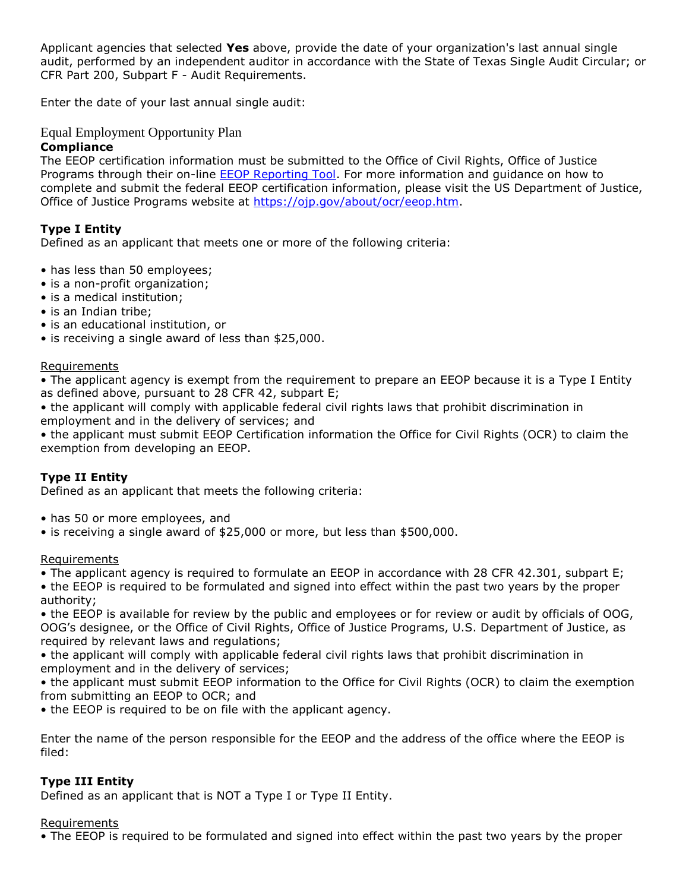Applicant agencies that selected **Yes** above, provide the date of your organization's last annual single audit, performed by an independent auditor in accordance with the State of Texas Single Audit Circular; or CFR Part 200, Subpart F - Audit Requirements.

Enter the date of your last annual single audit:

## Equal Employment Opportunity Plan

## **Compliance**

The EEOP certification information must be submitted to the Office of Civil Rights, Office of Justice Programs through their on-line [EEOP Reporting Tool.](https://ocr-eeop.ncjrs.gov/_layouts/15/eeopLogin2/customLogin.aspx?ReturnUrl=%2f_layouts%2f15%2fAuthenticate.aspx%3fSource%3d%252F&Source=%2F) For more information and guidance on how to complete and submit the federal EEOP certification information, please visit the US Department of Justice, Office of Justice Programs website at [https://ojp.gov/about/ocr/eeop.htm.](https://ojp.gov/about/ocr/eeop.htm)

## **Type I Entity**

Defined as an applicant that meets one or more of the following criteria:

- has less than 50 employees;
- is a non-profit organization;
- is a medical institution;
- is an Indian tribe;
- is an educational institution, or
- is receiving a single award of less than \$25,000.

#### **Requirements**

• The applicant agency is exempt from the requirement to prepare an EEOP because it is a Type I Entity as defined above, pursuant to 28 CFR 42, subpart E;

• the applicant will comply with applicable federal civil rights laws that prohibit discrimination in employment and in the delivery of services; and

• the applicant must submit EEOP Certification information the Office for Civil Rights (OCR) to claim the exemption from developing an EEOP.

## **Type II Entity**

Defined as an applicant that meets the following criteria:

- has 50 or more employees, and
- is receiving a single award of \$25,000 or more, but less than \$500,000.

#### Requirements

• The applicant agency is required to formulate an EEOP in accordance with 28 CFR 42.301, subpart E;

• the EEOP is required to be formulated and signed into effect within the past two years by the proper authority;

• the EEOP is available for review by the public and employees or for review or audit by officials of OOG, OOG's designee, or the Office of Civil Rights, Office of Justice Programs, U.S. Department of Justice, as required by relevant laws and regulations;

• the applicant will comply with applicable federal civil rights laws that prohibit discrimination in employment and in the delivery of services;

• the applicant must submit EEOP information to the Office for Civil Rights (OCR) to claim the exemption from submitting an EEOP to OCR; and

• the EEOP is required to be on file with the applicant agency.

Enter the name of the person responsible for the EEOP and the address of the office where the EEOP is filed:

## **Type III Entity**

Defined as an applicant that is NOT a Type I or Type II Entity.

#### Requirements

• The EEOP is required to be formulated and signed into effect within the past two years by the proper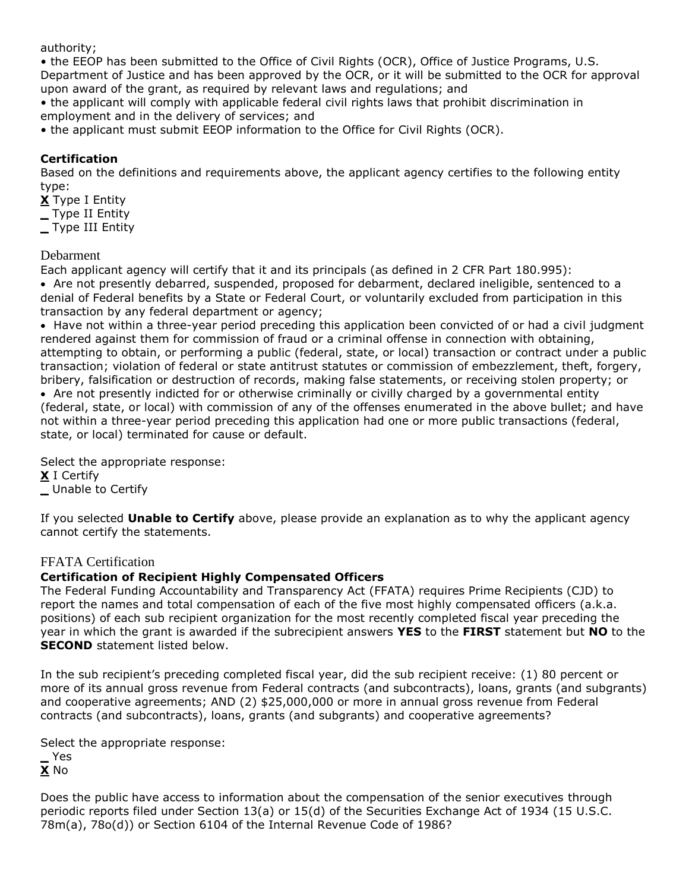authority;

• the EEOP has been submitted to the Office of Civil Rights (OCR), Office of Justice Programs, U.S. Department of Justice and has been approved by the OCR, or it will be submitted to the OCR for approval upon award of the grant, as required by relevant laws and regulations; and

• the applicant will comply with applicable federal civil rights laws that prohibit discrimination in employment and in the delivery of services; and

• the applicant must submit EEOP information to the Office for Civil Rights (OCR).

## **Certification**

Based on the definitions and requirements above, the applicant agency certifies to the following entity type:

**X** Type I Entity

**\_** Type II Entity

**\_** Type III Entity

## Debarment

Each applicant agency will certify that it and its principals (as defined in 2 CFR Part 180.995):

 Are not presently debarred, suspended, proposed for debarment, declared ineligible, sentenced to a denial of Federal benefits by a State or Federal Court, or voluntarily excluded from participation in this transaction by any federal department or agency;

• Have not within a three-year period preceding this application been convicted of or had a civil judgment rendered against them for commission of fraud or a criminal offense in connection with obtaining, attempting to obtain, or performing a public (federal, state, or local) transaction or contract under a public transaction; violation of federal or state antitrust statutes or commission of embezzlement, theft, forgery, bribery, falsification or destruction of records, making false statements, or receiving stolen property; or

 Are not presently indicted for or otherwise criminally or civilly charged by a governmental entity (federal, state, or local) with commission of any of the offenses enumerated in the above bullet; and have not within a three-year period preceding this application had one or more public transactions (federal, state, or local) terminated for cause or default.

Select the appropriate response:

**X** I Certify

**\_** Unable to Certify

If you selected **Unable to Certify** above, please provide an explanation as to why the applicant agency cannot certify the statements.

## FFATA Certification

## **Certification of Recipient Highly Compensated Officers**

The Federal Funding Accountability and Transparency Act (FFATA) requires Prime Recipients (CJD) to report the names and total compensation of each of the five most highly compensated officers (a.k.a. positions) of each sub recipient organization for the most recently completed fiscal year preceding the year in which the grant is awarded if the subrecipient answers **YES** to the **FIRST** statement but **NO** to the **SECOND** statement listed below.

In the sub recipient's preceding completed fiscal year, did the sub recipient receive: (1) 80 percent or more of its annual gross revenue from Federal contracts (and subcontracts), loans, grants (and subgrants) and cooperative agreements; AND (2) \$25,000,000 or more in annual gross revenue from Federal contracts (and subcontracts), loans, grants (and subgrants) and cooperative agreements?

Select the appropriate response:

**\_** Yes **X** No

Does the public have access to information about the compensation of the senior executives through periodic reports filed under Section 13(a) or 15(d) of the Securities Exchange Act of 1934 (15 U.S.C. 78m(a), 78o(d)) or Section 6104 of the Internal Revenue Code of 1986?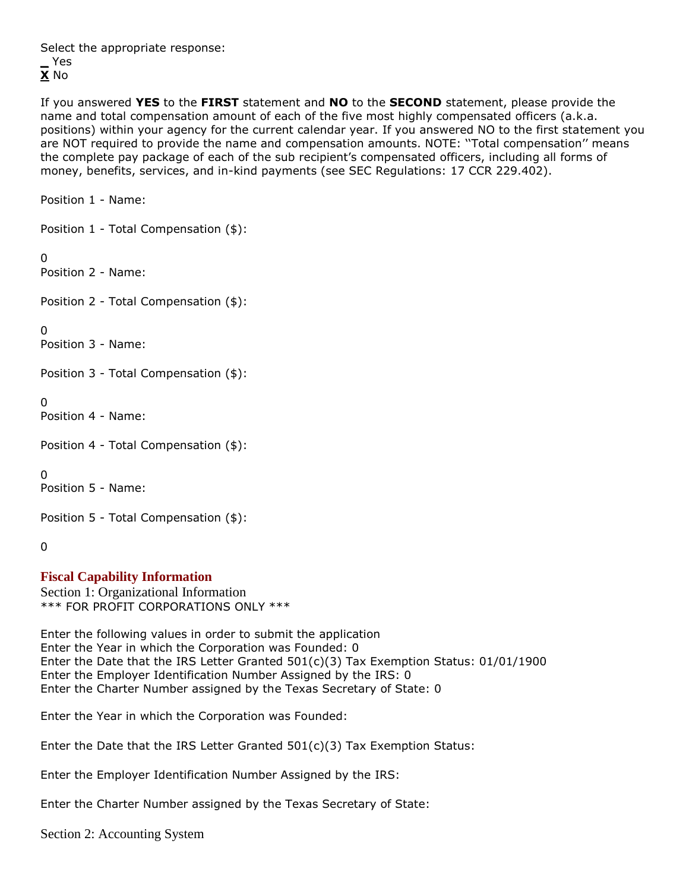Select the appropriate response: **\_** Yes **X** No

If you answered **YES** to the **FIRST** statement and **NO** to the **SECOND** statement, please provide the name and total compensation amount of each of the five most highly compensated officers (a.k.a. positions) within your agency for the current calendar year. If you answered NO to the first statement you are NOT required to provide the name and compensation amounts. NOTE: ''Total compensation'' means the complete pay package of each of the sub recipient's compensated officers, including all forms of money, benefits, services, and in-kind payments (see SEC Regulations: 17 CCR 229.402).

Position 1 - Name:

Position 1 - Total Compensation (\$):

 $\Omega$ 

Position 2 - Name:

Position 2 - Total Compensation (\$):

 $\Omega$ 

Position 3 - Name:

Position 3 - Total Compensation (\$):

 $\Omega$ 

Position 4 - Name:

Position 4 - Total Compensation (\$):

 $\Omega$ 

Position 5 - Name:

Position 5 - Total Compensation (\$):

 $\Omega$ 

## **Fiscal Capability Information**

Section 1: Organizational Information \*\*\* FOR PROFIT CORPORATIONS ONLY \*\*\*

Enter the following values in order to submit the application Enter the Year in which the Corporation was Founded: 0 Enter the Date that the IRS Letter Granted  $501(c)(3)$  Tax Exemption Status:  $01/01/1900$ Enter the Employer Identification Number Assigned by the IRS: 0 Enter the Charter Number assigned by the Texas Secretary of State: 0

Enter the Year in which the Corporation was Founded:

Enter the Date that the IRS Letter Granted  $501(c)(3)$  Tax Exemption Status:

Enter the Employer Identification Number Assigned by the IRS:

Enter the Charter Number assigned by the Texas Secretary of State:

Section 2: Accounting System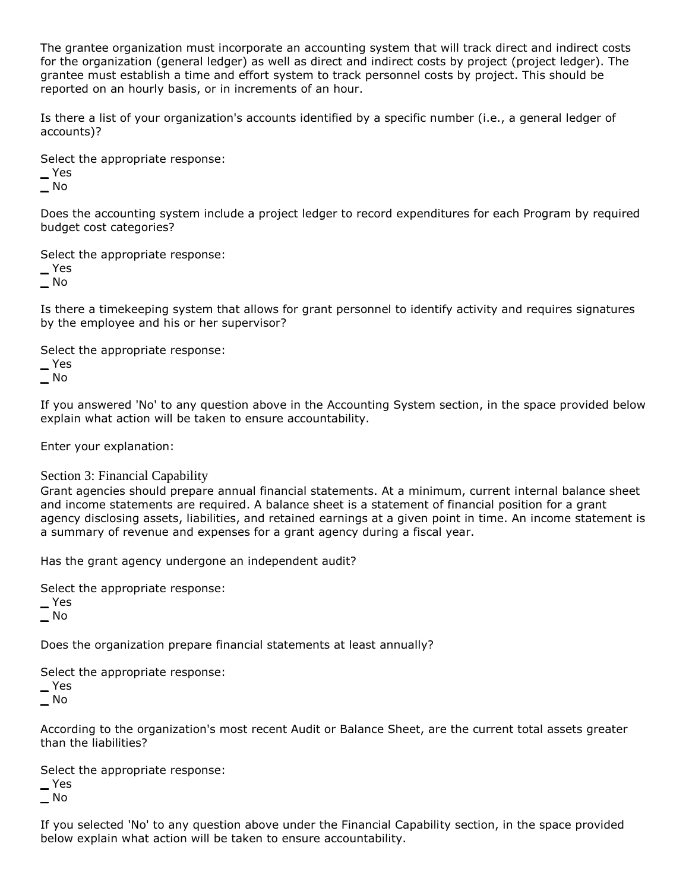The grantee organization must incorporate an accounting system that will track direct and indirect costs for the organization (general ledger) as well as direct and indirect costs by project (project ledger). The grantee must establish a time and effort system to track personnel costs by project. This should be reported on an hourly basis, or in increments of an hour.

Is there a list of your organization's accounts identified by a specific number (i.e., a general ledger of accounts)?

Select the appropriate response:

**\_** Yes

**\_** No

Does the accounting system include a project ledger to record expenditures for each Program by required budget cost categories?

Select the appropriate response:

**\_** Yes

**\_** No

Is there a timekeeping system that allows for grant personnel to identify activity and requires signatures by the employee and his or her supervisor?

Select the appropriate response:

**\_** Yes

**\_** No

If you answered 'No' to any question above in the Accounting System section, in the space provided below explain what action will be taken to ensure accountability.

Enter your explanation:

#### Section 3: Financial Capability

Grant agencies should prepare annual financial statements. At a minimum, current internal balance sheet and income statements are required. A balance sheet is a statement of financial position for a grant agency disclosing assets, liabilities, and retained earnings at a given point in time. An income statement is a summary of revenue and expenses for a grant agency during a fiscal year.

Has the grant agency undergone an independent audit?

Select the appropriate response:

**\_** Yes

**\_** No

Does the organization prepare financial statements at least annually?

Select the appropriate response:

**\_** Yes

**\_** No

According to the organization's most recent Audit or Balance Sheet, are the current total assets greater than the liabilities?

Select the appropriate response:

**\_** Yes

**\_** No

If you selected 'No' to any question above under the Financial Capability section, in the space provided below explain what action will be taken to ensure accountability.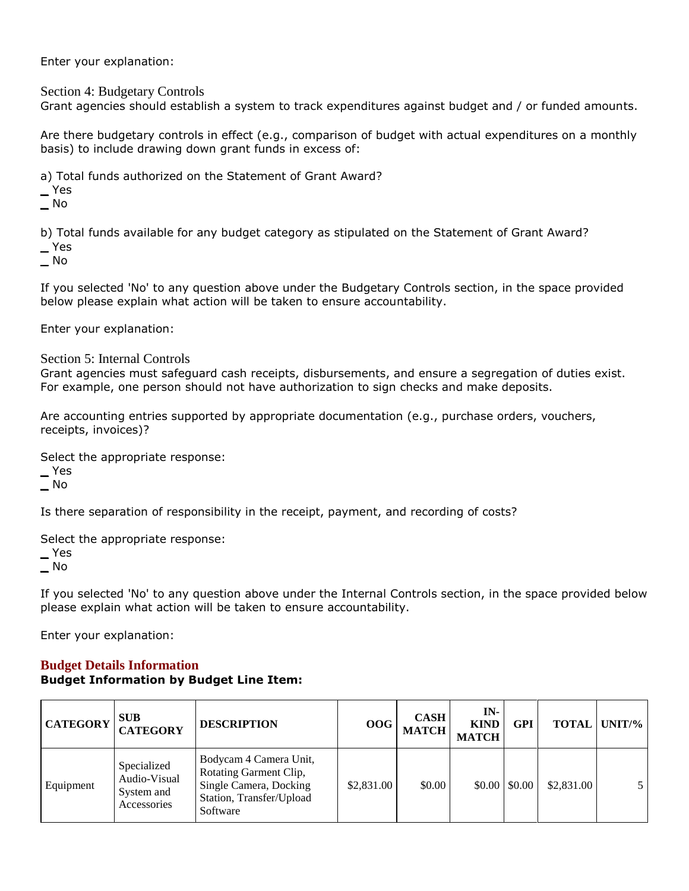Enter your explanation:

Section 4: Budgetary Controls

Grant agencies should establish a system to track expenditures against budget and / or funded amounts.

Are there budgetary controls in effect (e.g., comparison of budget with actual expenditures on a monthly basis) to include drawing down grant funds in excess of:

a) Total funds authorized on the Statement of Grant Award?

**\_** Yes

**\_** No

b) Total funds available for any budget category as stipulated on the Statement of Grant Award?

**\_** Yes

**\_** No

If you selected 'No' to any question above under the Budgetary Controls section, in the space provided below please explain what action will be taken to ensure accountability.

Enter your explanation:

Section 5: Internal Controls

Grant agencies must safeguard cash receipts, disbursements, and ensure a segregation of duties exist. For example, one person should not have authorization to sign checks and make deposits.

Are accounting entries supported by appropriate documentation (e.g., purchase orders, vouchers, receipts, invoices)?

Select the appropriate response:

**\_** Yes

**\_** No

Is there separation of responsibility in the receipt, payment, and recording of costs?

Select the appropriate response:

**\_** Yes **\_** No

If you selected 'No' to any question above under the Internal Controls section, in the space provided below please explain what action will be taken to ensure accountability.

Enter your explanation:

### **Budget Details Information Budget Information by Budget Line Item:**

| <b>CATEGORY</b> | <b>SUB</b><br><b>CATEGORY</b>                            | <b>DESCRIPTION</b>                                                                                                 | 00G        | <b>CASH</b><br><b>MATCH</b> | $IN-$<br><b>KIND</b><br><b>MATCH</b> | <b>GPI</b>              | <b>TOTAL</b> | $UNIT\%$ |
|-----------------|----------------------------------------------------------|--------------------------------------------------------------------------------------------------------------------|------------|-----------------------------|--------------------------------------|-------------------------|--------------|----------|
| Equipment       | Specialized<br>Audio-Visual<br>System and<br>Accessories | Bodycam 4 Camera Unit,<br>Rotating Garment Clip,<br>Single Camera, Docking<br>Station, Transfer/Upload<br>Software | \$2,831.00 | \$0.00                      |                                      | $$0.00 \, \text{S}0.00$ | \$2,831.00   |          |